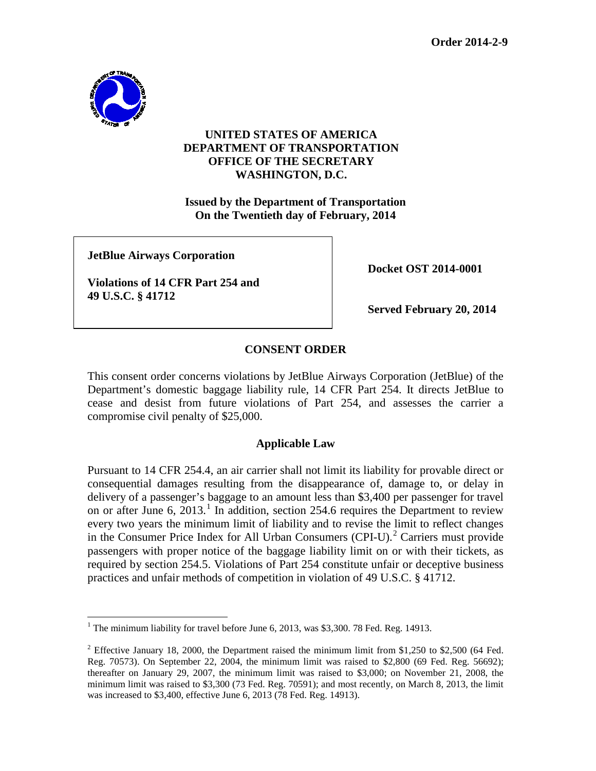

## **UNITED STATES OF AMERICA DEPARTMENT OF TRANSPORTATION OFFICE OF THE SECRETARY WASHINGTON, D.C.**

**Issued by the Department of Transportation On the Twentieth day of February, 2014**

**JetBlue Airways Corporation**

**Violations of 14 CFR Part 254 and 49 U.S.C. § 41712**

**Docket OST 2014-0001**

**Served February 20, 2014**

# **CONSENT ORDER**

This consent order concerns violations by JetBlue Airways Corporation (JetBlue) of the Department's domestic baggage liability rule, 14 CFR Part 254. It directs JetBlue to cease and desist from future violations of Part 254, and assesses the carrier a compromise civil penalty of \$25,000.

### **Applicable Law**

Pursuant to 14 CFR 254.4, an air carrier shall not limit its liability for provable direct or consequential damages resulting from the disappearance of, damage to, or delay in delivery of a passenger's baggage to an amount less than \$3,400 per passenger for travel on or after June 6, 20[1](#page-0-0)3.<sup>1</sup> In addition, section 254.6 requires the Department to review every two years the minimum limit of liability and to revise the limit to reflect changes in the Consumer Price Index for All Urban Consumers  $(CPI-U)$ .<sup>[2](#page-0-1)</sup> Carriers must provide passengers with proper notice of the baggage liability limit on or with their tickets, as required by section 254.5. Violations of Part 254 constitute unfair or deceptive business practices and unfair methods of competition in violation of 49 U.S.C. § 41712.

<span id="page-0-0"></span><sup>&</sup>lt;sup>1</sup> The minimum liability for travel before June 6, 2013, was \$3,300. 78 Fed. Reg. 14913.

<span id="page-0-1"></span> $2$  Effective January 18, 2000, the Department raised the minimum limit from \$1,250 to \$2,500 (64 Fed. Reg. 70573). On September 22, 2004, the minimum limit was raised to \$2,800 (69 Fed. Reg. 56692); thereafter on January 29, 2007, the minimum limit was raised to \$3,000; on November 21, 2008, the minimum limit was raised to \$3,300 (73 Fed. Reg. 70591); and most recently, on March 8, 2013, the limit was increased to \$3,400, effective June 6, 2013 (78 Fed. Reg. 14913).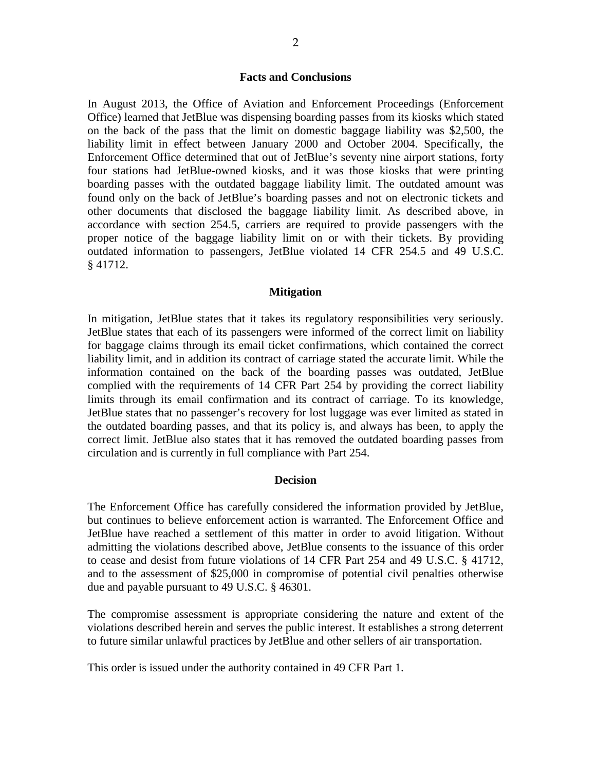### **Facts and Conclusions**

In August 2013, the Office of Aviation and Enforcement Proceedings (Enforcement Office) learned that JetBlue was dispensing boarding passes from its kiosks which stated on the back of the pass that the limit on domestic baggage liability was \$2,500, the liability limit in effect between January 2000 and October 2004. Specifically, the Enforcement Office determined that out of JetBlue's seventy nine airport stations, forty four stations had JetBlue-owned kiosks, and it was those kiosks that were printing boarding passes with the outdated baggage liability limit. The outdated amount was found only on the back of JetBlue's boarding passes and not on electronic tickets and other documents that disclosed the baggage liability limit. As described above, in accordance with section 254.5, carriers are required to provide passengers with the proper notice of the baggage liability limit on or with their tickets. By providing outdated information to passengers, JetBlue violated 14 CFR 254.5 and 49 U.S.C. § 41712.

#### **Mitigation**

In mitigation, JetBlue states that it takes its regulatory responsibilities very seriously. JetBlue states that each of its passengers were informed of the correct limit on liability for baggage claims through its email ticket confirmations, which contained the correct liability limit, and in addition its contract of carriage stated the accurate limit. While the information contained on the back of the boarding passes was outdated, JetBlue complied with the requirements of 14 CFR Part 254 by providing the correct liability limits through its email confirmation and its contract of carriage. To its knowledge, JetBlue states that no passenger's recovery for lost luggage was ever limited as stated in the outdated boarding passes, and that its policy is, and always has been, to apply the correct limit. JetBlue also states that it has removed the outdated boarding passes from circulation and is currently in full compliance with Part 254.

#### **Decision**

The Enforcement Office has carefully considered the information provided by JetBlue, but continues to believe enforcement action is warranted. The Enforcement Office and JetBlue have reached a settlement of this matter in order to avoid litigation. Without admitting the violations described above, JetBlue consents to the issuance of this order to cease and desist from future violations of 14 CFR Part 254 and 49 U.S.C. § 41712, and to the assessment of \$25,000 in compromise of potential civil penalties otherwise due and payable pursuant to 49 U.S.C. § 46301.

The compromise assessment is appropriate considering the nature and extent of the violations described herein and serves the public interest. It establishes a strong deterrent to future similar unlawful practices by JetBlue and other sellers of air transportation.

This order is issued under the authority contained in 49 CFR Part 1.